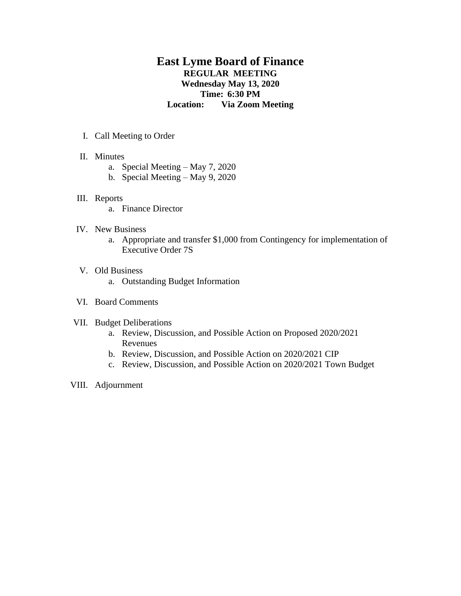# **East Lyme Board of Finance REGULAR MEETING Wednesday May 13, 2020 Time: 6:30 PM Location: Via Zoom Meeting**

- I. Call Meeting to Order
- II. Minutes
	- a. Special Meeting May 7, 2020
	- b. Special Meeting May 9, 2020

### III. Reports

a. Finance Director

### IV. New Business

a. Appropriate and transfer \$1,000 from Contingency for implementation of Executive Order 7S

# V. Old Business

a. Outstanding Budget Information

## VI. Board Comments

# VII. Budget Deliberations

- a. Review, Discussion, and Possible Action on Proposed 2020/2021 Revenues
- b. Review, Discussion, and Possible Action on 2020/2021 CIP
- c. Review, Discussion, and Possible Action on 2020/2021 Town Budget
- VIII. Adjournment